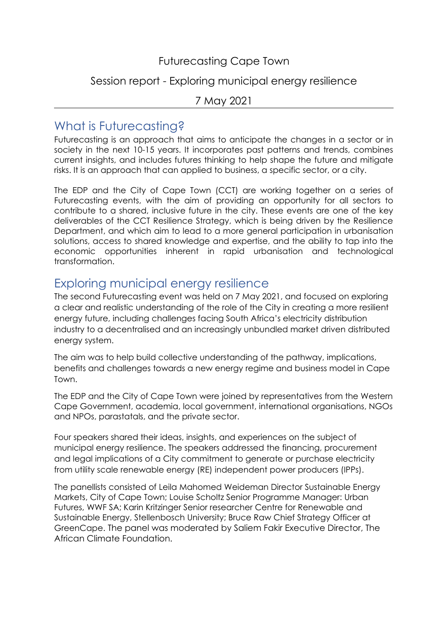#### Futurecasting Cape Town

#### Session report - Exploring municipal energy resilience

#### 7 May 2021

## What is Futurecasting?

Futurecasting is an approach that aims to anticipate the changes in a sector or in society in the next 10-15 years. It incorporates past patterns and trends, combines current insights, and includes futures thinking to help shape the future and mitigate risks. It is an approach that can applied to business, a specific sector, or a city.

The EDP and the City of Cape Town (CCT) are working together on a series of Futurecasting events, with the aim of providing an opportunity for all sectors to contribute to a shared, inclusive future in the city. These events are one of the key deliverables of the CCT Resilience Strategy, which is being driven by the Resilience Department, and which aim to lead to a more general participation in urbanisation solutions, access to shared knowledge and expertise, and the ability to tap into the economic opportunities inherent in rapid urbanisation and technological transformation.

## Exploring municipal energy resilience

The second Futurecasting event was held on 7 May 2021, and focused on exploring a clear and realistic understanding of the role of the City in creating a more resilient energy future, including challenges facing South Africa's electricity distribution industry to a decentralised and an increasingly unbundled market driven distributed energy system.

The aim was to help build collective understanding of the pathway, implications, benefits and challenges towards a new energy regime and business model in Cape Town.

The EDP and the City of Cape Town were joined by representatives from the Western Cape Government, academia, local government, international organisations, NGOs and NPOs, parastatals, and the private sector.

Four speakers shared their ideas, insights, and experiences on the subject of municipal energy resilience. The speakers addressed the financing, procurement and legal implications of a City commitment to generate or purchase electricity from utility scale renewable energy (RE) independent power producers (IPPs).

The panellists consisted of Leila Mahomed Weideman Director Sustainable Energy Markets, City of Cape Town; Louise Scholtz Senior Programme Manager: Urban Futures, WWF SA; Karin Kritzinger Senior researcher Centre for Renewable and Sustainable Energy, Stellenbosch University; Bruce Raw Chief Strategy Officer at GreenCape. The panel was moderated by Saliem Fakir Executive Director, The African Climate Foundation.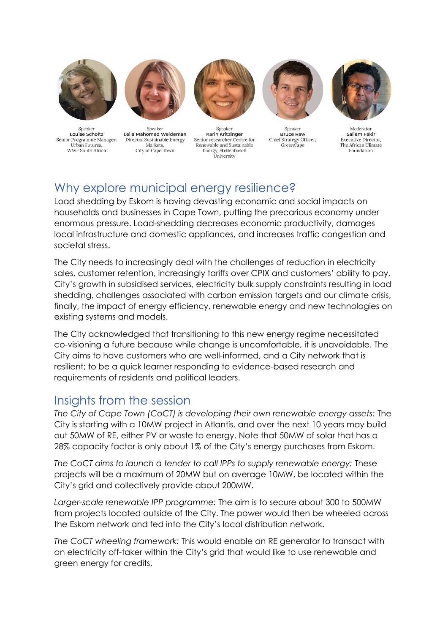

Speaker Louise Scholtz Senior Programme Manager: Urban Futures. WWF South Africa



Speaker Leila Mahomed Weideman Director Sustainable Energy Markets. City of Cape Town



Speaker Karin Kritzinger Senior researcher Centre for Renewable and Sustainable Energy, Stellenbosch University



Speaker Bruce Raw Chief Strategy Officer, GreenCape



Moderator Saliem Fakir **Executive Director.** The African Climate Foundation

# Why explore municipal energy resilience?

Load shedding by Eskom is having devasting economic and social impacts on households and businesses in Cape Town, putting the precarious economy under enormous pressure. Load-shedding decreases economic productivity, damages local infrastructure and domestic appliances, and increases traffic congestion and societal stress.

The City needs to increasingly deal with the challenges of reduction in electricity sales, customer retention, increasingly tariffs over CPIX and customers' ability to pay, City's growth in subsidised services, electricity bulk supply constraints resulting in load shedding, challenges associated with carbon emission targets and our climate crisis, finally, the impact of energy efficiency, renewable energy and new technologies on existing systems and models.

The City acknowledged that transitioning to this new energy regime necessitated co-visioning a future because while change is uncomfortable, it is unavoidable. The City aims to have customers who are well-informed, and a City network that is resilient; to be a quick learner responding to evidence-based research and requirements of residents and political leaders.

### Insights from the session

*The City of Cape Town (CoCT) is developing their own renewable energy assets:* The City is starting with a 10MW project in Atlantis, and over the next 10 years may build out 50MW of RE, either PV or waste to energy. Note that 50MW of solar that has a 28% capacity factor is only about 1% of the City's energy purchases from Eskom.

*The CoCT aims to launch a tender to call IPPs to supply renewable energy:* These projects will be a maximum of 20MW but on average 10MW, be located within the City's grid and collectively provide about 200MW.

*Larger-scale renewable IPP programme:* The aim is to secure about 300 to 500MW from projects located outside of the City. The power would then be wheeled across the Eskom network and fed into the City's local distribution network.

*The CoCT wheeling framework:* This would enable an RE generator to transact with an electricity off-taker within the City's grid that would like to use renewable and green energy for credits.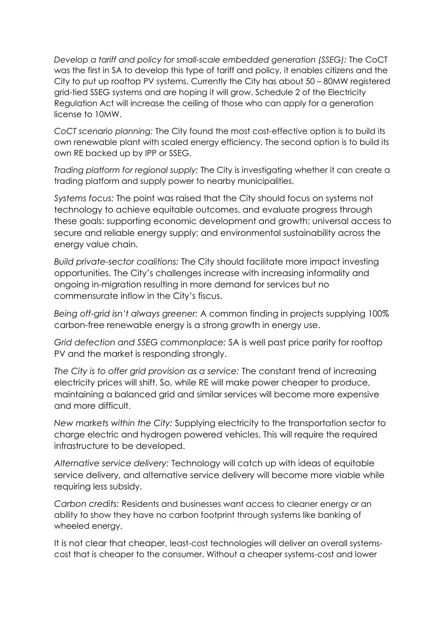*Develop a tariff and policy for small-scale embedded generation (SSEG):* The CoCT was the first in SA to develop this type of tariff and policy, it enables citizens and the City to put up rooftop PV systems. Currently the City has about 50 – 80MW registered grid-tied SSEG systems and are hoping it will grow. Schedule 2 of the Electricity Regulation Act will increase the ceiling of those who can apply for a generation license to 10MW.

*CoCT scenario planning:* The City found the most cost-effective option is to build its own renewable plant with scaled energy efficiency. The second option is to build its own RE backed up by IPP or SSEG.

*Trading platform for regional supply:* The City is investigating whether it can create a trading platform and supply power to nearby municipalities.

*Systems focus:* The point was raised that the City should focus on systems not technology to achieve equitable outcomes, and evaluate progress through these goals: supporting economic development and growth; universal access to secure and reliable energy supply; and environmental sustainability across the energy value chain.

*Build private-sector coalitions:* The City should facilitate more impact investing opportunities. The City's challenges increase with increasing informality and ongoing in-migration resulting in more demand for services but no commensurate inflow in the City's fiscus.

*Being off-grid isn't always greener:* A common finding in projects supplying 100% carbon-free renewable energy is a strong growth in energy use.

*Grid defection and SSEG commonplace:* SA is well past price parity for rooftop PV and the market is responding strongly.

*The City is to offer grid provision as a service:* The constant trend of increasing electricity prices will shift. So, while RE will make power cheaper to produce, maintaining a balanced grid and similar services will become more expensive and more difficult.

*New markets within the City:* Supplying electricity to the transportation sector to charge electric and hydrogen powered vehicles. This will require the required infrastructure to be developed.

*Alternative service delivery:* Technology will catch up with ideas of equitable service delivery, and alternative service delivery will become more viable while requiring less subsidy.

*Carbon credits:* Residents and businesses want access to cleaner energy or an ability to show they have no carbon footprint through systems like banking of wheeled energy.

It is not clear that cheaper, least-cost technologies will deliver an overall systemscost that is cheaper to the consumer. Without a cheaper systems-cost and lower